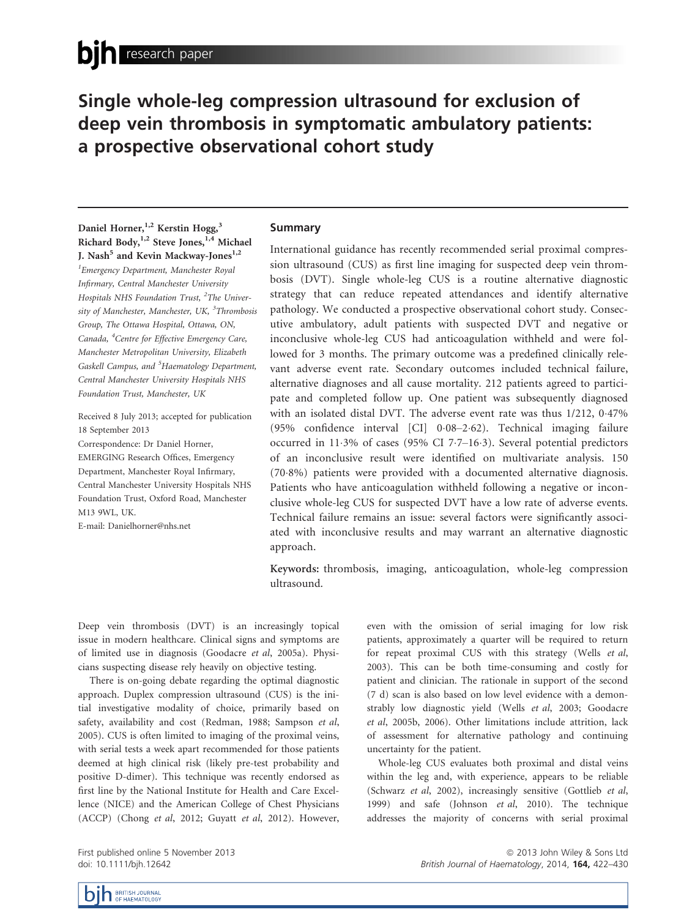# Single whole-leg compression ultrasound for exclusion of deep vein thrombosis in symptomatic ambulatory patients: a prospective observational cohort study

# Daniel Horner,<sup>1,2</sup> Kerstin Hogg,<sup>3</sup> Richard Body,<sup>1,2</sup> Steve Jones,<sup>1,4</sup> Michael J. Nash<sup>5</sup> and Kevin Mackway-Jones<sup>1,2</sup>

1 Emergency Department, Manchester Royal Infirmary, Central Manchester University Hospitals NHS Foundation Trust, <sup>2</sup>The University of Manchester, Manchester, UK, <sup>3</sup>Thrombosis Group, The Ottawa Hospital, Ottawa, ON, Canada, <sup>4</sup>Centre for Effective Emergency Care, Manchester Metropolitan University, Elizabeth Gaskell Campus, and <sup>5</sup>Haematology Department, Central Manchester University Hospitals NHS Foundation Trust, Manchester, UK

Received 8 July 2013; accepted for publication 18 September 2013 Correspondence: Dr Daniel Horner, EMERGING Research Offices, Emergency Department, Manchester Royal Infirmary, Central Manchester University Hospitals NHS Foundation Trust, Oxford Road, Manchester M13 9WL, UK.

E-mail: Danielhorner@nhs.net

# Summary

International guidance has recently recommended serial proximal compression ultrasound (CUS) as first line imaging for suspected deep vein thrombosis (DVT). Single whole-leg CUS is a routine alternative diagnostic strategy that can reduce repeated attendances and identify alternative pathology. We conducted a prospective observational cohort study. Consecutive ambulatory, adult patients with suspected DVT and negative or inconclusive whole-leg CUS had anticoagulation withheld and were followed for 3 months. The primary outcome was a predefined clinically relevant adverse event rate. Secondary outcomes included technical failure, alternative diagnoses and all cause mortality. 212 patients agreed to participate and completed follow up. One patient was subsequently diagnosed with an isolated distal DVT. The adverse event rate was thus  $1/212$ , 0.47% (95% confidence interval [CI] 0.08-2.62). Technical imaging failure occurred in 113% of cases (95% CI 77–163). Several potential predictors of an inconclusive result were identified on multivariate analysis. 150 (708%) patients were provided with a documented alternative diagnosis. Patients who have anticoagulation withheld following a negative or inconclusive whole-leg CUS for suspected DVT have a low rate of adverse events. Technical failure remains an issue: several factors were significantly associated with inconclusive results and may warrant an alternative diagnostic approach.

Keywords: thrombosis, imaging, anticoagulation, whole-leg compression ultrasound.

Deep vein thrombosis (DVT) is an increasingly topical issue in modern healthcare. Clinical signs and symptoms are of limited use in diagnosis (Goodacre et al, 2005a). Physicians suspecting disease rely heavily on objective testing.

There is on-going debate regarding the optimal diagnostic approach. Duplex compression ultrasound (CUS) is the initial investigative modality of choice, primarily based on safety, availability and cost (Redman, 1988; Sampson et al, 2005). CUS is often limited to imaging of the proximal veins, with serial tests a week apart recommended for those patients deemed at high clinical risk (likely pre-test probability and positive D-dimer). This technique was recently endorsed as first line by the National Institute for Health and Care Excellence (NICE) and the American College of Chest Physicians (ACCP) (Chong et al, 2012; Guyatt et al, 2012). However,

First published online 5 November 2013 doi: 10.1111/bjh.12642

even with the omission of serial imaging for low risk patients, approximately a quarter will be required to return for repeat proximal CUS with this strategy (Wells et al, 2003). This can be both time-consuming and costly for patient and clinician. The rationale in support of the second (7 d) scan is also based on low level evidence with a demonstrably low diagnostic yield (Wells et al, 2003; Goodacre et al, 2005b, 2006). Other limitations include attrition, lack of assessment for alternative pathology and continuing uncertainty for the patient.

Whole-leg CUS evaluates both proximal and distal veins within the leg and, with experience, appears to be reliable (Schwarz et al, 2002), increasingly sensitive (Gottlieb et al, 1999) and safe (Johnson et al, 2010). The technique addresses the majority of concerns with serial proximal

> ª 2013 John Wiley & Sons Ltd British Journal of Haematology, 2014, 164, 422-430

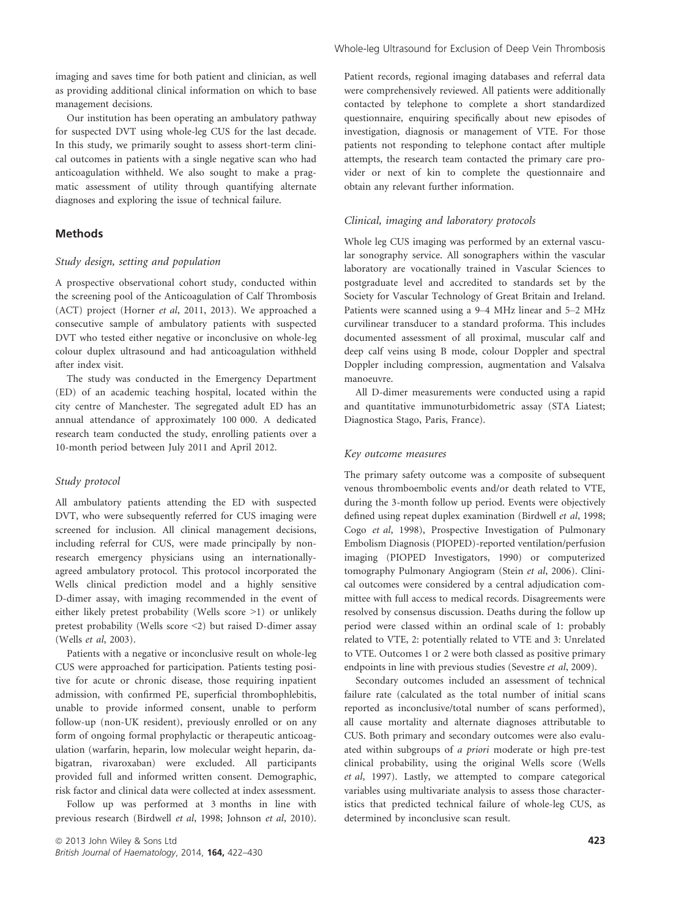imaging and saves time for both patient and clinician, as well as providing additional clinical information on which to base management decisions.

Our institution has been operating an ambulatory pathway for suspected DVT using whole-leg CUS for the last decade. In this study, we primarily sought to assess short-term clinical outcomes in patients with a single negative scan who had anticoagulation withheld. We also sought to make a pragmatic assessment of utility through quantifying alternate diagnoses and exploring the issue of technical failure.

# Methods

## Study design, setting and population

A prospective observational cohort study, conducted within the screening pool of the Anticoagulation of Calf Thrombosis (ACT) project (Horner et al, 2011, 2013). We approached a consecutive sample of ambulatory patients with suspected DVT who tested either negative or inconclusive on whole-leg colour duplex ultrasound and had anticoagulation withheld after index visit.

The study was conducted in the Emergency Department (ED) of an academic teaching hospital, located within the city centre of Manchester. The segregated adult ED has an annual attendance of approximately 100 000. A dedicated research team conducted the study, enrolling patients over a 10-month period between July 2011 and April 2012.

## Study protocol

All ambulatory patients attending the ED with suspected DVT, who were subsequently referred for CUS imaging were screened for inclusion. All clinical management decisions, including referral for CUS, were made principally by nonresearch emergency physicians using an internationallyagreed ambulatory protocol. This protocol incorporated the Wells clinical prediction model and a highly sensitive D-dimer assay, with imaging recommended in the event of either likely pretest probability (Wells score >1) or unlikely pretest probability (Wells score <2) but raised D-dimer assay (Wells et al, 2003).

Patients with a negative or inconclusive result on whole-leg CUS were approached for participation. Patients testing positive for acute or chronic disease, those requiring inpatient admission, with confirmed PE, superficial thrombophlebitis, unable to provide informed consent, unable to perform follow-up (non-UK resident), previously enrolled or on any form of ongoing formal prophylactic or therapeutic anticoagulation (warfarin, heparin, low molecular weight heparin, dabigatran, rivaroxaban) were excluded. All participants provided full and informed written consent. Demographic, risk factor and clinical data were collected at index assessment.

Follow up was performed at 3 months in line with previous research (Birdwell et al, 1998; Johnson et al, 2010). Patient records, regional imaging databases and referral data were comprehensively reviewed. All patients were additionally contacted by telephone to complete a short standardized questionnaire, enquiring specifically about new episodes of investigation, diagnosis or management of VTE. For those patients not responding to telephone contact after multiple attempts, the research team contacted the primary care provider or next of kin to complete the questionnaire and obtain any relevant further information.

## Clinical, imaging and laboratory protocols

Whole leg CUS imaging was performed by an external vascular sonography service. All sonographers within the vascular laboratory are vocationally trained in Vascular Sciences to postgraduate level and accredited to standards set by the Society for Vascular Technology of Great Britain and Ireland. Patients were scanned using a 9–4 MHz linear and 5–2 MHz curvilinear transducer to a standard proforma. This includes documented assessment of all proximal, muscular calf and deep calf veins using B mode, colour Doppler and spectral Doppler including compression, augmentation and Valsalva manoeuvre.

All D-dimer measurements were conducted using a rapid and quantitative immunoturbidometric assay (STA Liatest; Diagnostica Stago, Paris, France).

#### Key outcome measures

The primary safety outcome was a composite of subsequent venous thromboembolic events and/or death related to VTE, during the 3-month follow up period. Events were objectively defined using repeat duplex examination (Birdwell et al, 1998; Cogo et al, 1998), Prospective Investigation of Pulmonary Embolism Diagnosis (PIOPED)-reported ventilation/perfusion imaging (PIOPED Investigators, 1990) or computerized tomography Pulmonary Angiogram (Stein et al, 2006). Clinical outcomes were considered by a central adjudication committee with full access to medical records. Disagreements were resolved by consensus discussion. Deaths during the follow up period were classed within an ordinal scale of 1: probably related to VTE, 2: potentially related to VTE and 3: Unrelated to VTE. Outcomes 1 or 2 were both classed as positive primary endpoints in line with previous studies (Sevestre *et al.* 2009).

Secondary outcomes included an assessment of technical failure rate (calculated as the total number of initial scans reported as inconclusive/total number of scans performed), all cause mortality and alternate diagnoses attributable to CUS. Both primary and secondary outcomes were also evaluated within subgroups of a priori moderate or high pre-test clinical probability, using the original Wells score (Wells et al, 1997). Lastly, we attempted to compare categorical variables using multivariate analysis to assess those characteristics that predicted technical failure of whole-leg CUS, as determined by inconclusive scan result.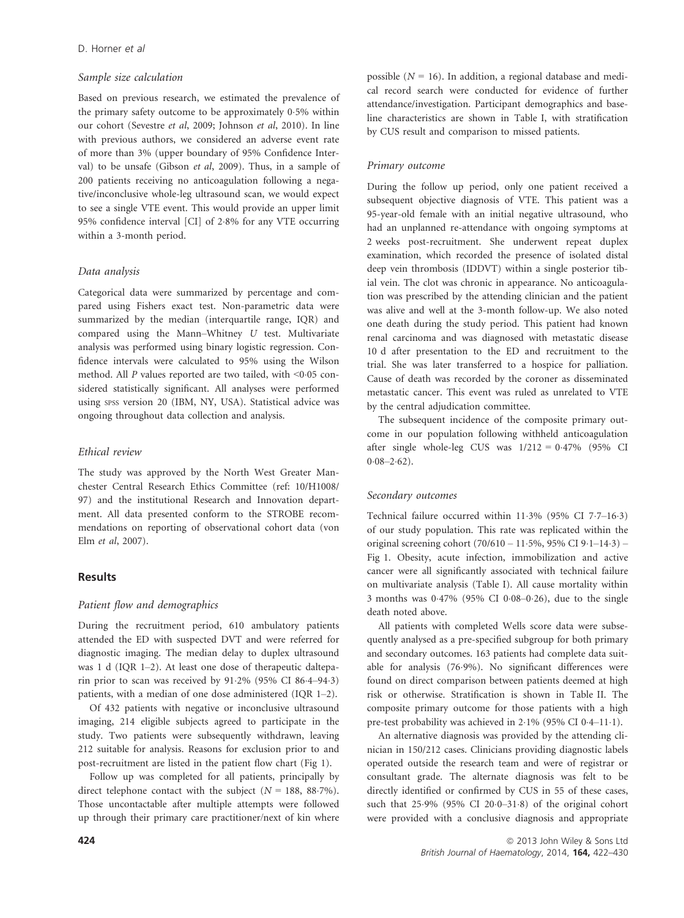## Sample size calculation

Based on previous research, we estimated the prevalence of the primary safety outcome to be approximately 05% within our cohort (Sevestre et al, 2009; Johnson et al, 2010). In line with previous authors, we considered an adverse event rate of more than 3% (upper boundary of 95% Confidence Interval) to be unsafe (Gibson et al, 2009). Thus, in a sample of 200 patients receiving no anticoagulation following a negative/inconclusive whole-leg ultrasound scan, we would expect to see a single VTE event. This would provide an upper limit 95% confidence interval [CI] of 28% for any VTE occurring within a 3-month period.

## Data analysis

Categorical data were summarized by percentage and compared using Fishers exact test. Non-parametric data were summarized by the median (interquartile range, IQR) and compared using the Mann–Whitney U test. Multivariate analysis was performed using binary logistic regression. Confidence intervals were calculated to 95% using the Wilson method. All  $P$  values reported are two tailed, with <0.05 considered statistically significant. All analyses were performed using spss version 20 (IBM, NY, USA). Statistical advice was ongoing throughout data collection and analysis.

## Ethical review

The study was approved by the North West Greater Manchester Central Research Ethics Committee (ref: 10/H1008/ 97) and the institutional Research and Innovation department. All data presented conform to the STROBE recommendations on reporting of observational cohort data (von Elm et al, 2007).

## Results

#### Patient flow and demographics

During the recruitment period, 610 ambulatory patients attended the ED with suspected DVT and were referred for diagnostic imaging. The median delay to duplex ultrasound was 1 d (IQR 1–2). At least one dose of therapeutic dalteparin prior to scan was received by  $91.2\%$  (95% CI 86.4–94.3) patients, with a median of one dose administered (IQR 1–2).

Of 432 patients with negative or inconclusive ultrasound imaging, 214 eligible subjects agreed to participate in the study. Two patients were subsequently withdrawn, leaving 212 suitable for analysis. Reasons for exclusion prior to and post-recruitment are listed in the patient flow chart (Fig 1).

Follow up was completed for all patients, principally by direct telephone contact with the subject  $(N = 188, 88.7\%)$ . Those uncontactable after multiple attempts were followed up through their primary care practitioner/next of kin where

## Primary outcome

During the follow up period, only one patient received a subsequent objective diagnosis of VTE. This patient was a 95-year-old female with an initial negative ultrasound, who had an unplanned re-attendance with ongoing symptoms at 2 weeks post-recruitment. She underwent repeat duplex examination, which recorded the presence of isolated distal deep vein thrombosis (IDDVT) within a single posterior tibial vein. The clot was chronic in appearance. No anticoagulation was prescribed by the attending clinician and the patient was alive and well at the 3-month follow-up. We also noted one death during the study period. This patient had known renal carcinoma and was diagnosed with metastatic disease 10 d after presentation to the ED and recruitment to the trial. She was later transferred to a hospice for palliation. Cause of death was recorded by the coroner as disseminated metastatic cancer. This event was ruled as unrelated to VTE by the central adjudication committee.

The subsequent incidence of the composite primary outcome in our population following withheld anticoagulation after single whole-leg CUS was  $1/212 = 0.47\%$  (95% CI  $0.08 - 2.62$ .

#### Secondary outcomes

Technical failure occurred within 113% (95% CI 77–163) of our study population. This rate was replicated within the original screening cohort  $(70/610 - 11.5\%, 95\% \text{ CI } 9.1 - 14.3)$  – Fig 1. Obesity, acute infection, immobilization and active cancer were all significantly associated with technical failure on multivariate analysis (Table I). All cause mortality within 3 months was  $0.47\%$  (95% CI 0.08–0.26), due to the single death noted above.

All patients with completed Wells score data were subsequently analysed as a pre-specified subgroup for both primary and secondary outcomes. 163 patients had complete data suitable for analysis (769%). No significant differences were found on direct comparison between patients deemed at high risk or otherwise. Stratification is shown in Table II. The composite primary outcome for those patients with a high pre-test probability was achieved in  $2.1\%$  (95% CI 0.4–11.1).

An alternative diagnosis was provided by the attending clinician in 150/212 cases. Clinicians providing diagnostic labels operated outside the research team and were of registrar or consultant grade. The alternate diagnosis was felt to be directly identified or confirmed by CUS in 55 of these cases, such that  $25.9\%$  (95% CI 20.0–31.8) of the original cohort were provided with a conclusive diagnosis and appropriate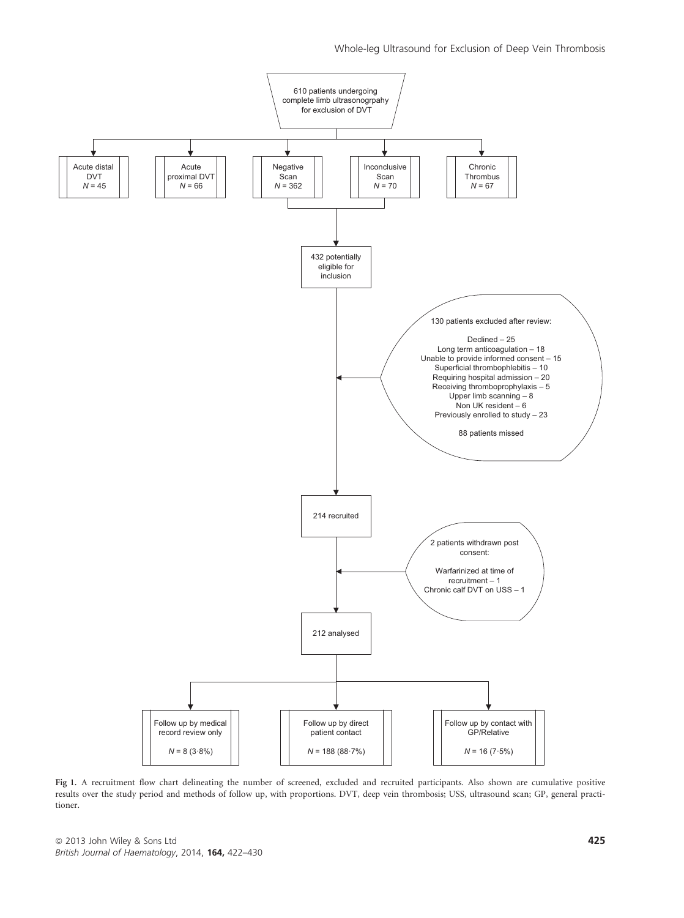

Fig 1. A recruitment flow chart delineating the number of screened, excluded and recruited participants. Also shown are cumulative positive results over the study period and methods of follow up, with proportions. DVT, deep vein thrombosis; USS, ultrasound scan; GP, general practitioner.

ª 2013 John Wiley & Sons Ltd 425 British Journal of Haematology, 2014, 164, 422-430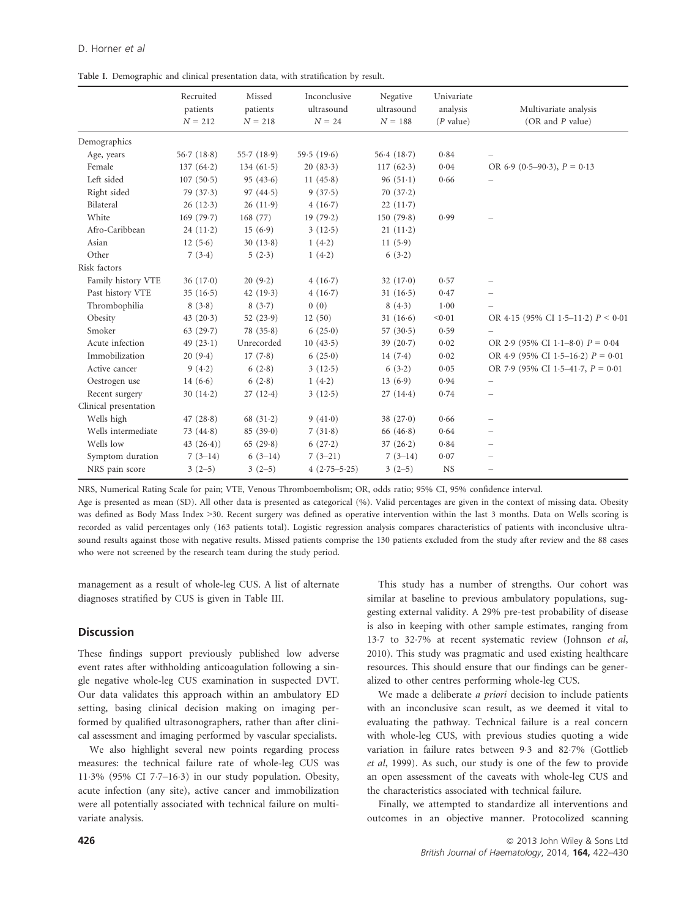Table I. Demographic and clinical presentation data, with stratification by result.

|                       | Recruited   | Missed      | Inconclusive   | Negative    | Univariate  |                                      |
|-----------------------|-------------|-------------|----------------|-------------|-------------|--------------------------------------|
|                       | patients    | patients    | ultrasound     | ultrasound  | analysis    | Multivariate analysis                |
|                       | $N = 212$   | $N = 218$   | $N = 24$       | $N = 188$   | $(P$ value) | (OR and P value)                     |
| Demographics          |             |             |                |             |             |                                      |
| Age, years            | 56.7(18.8)  | 55.7(18.9)  | 59.5(19.6)     | 56.4(18.7)  | 0.84        |                                      |
| Female                | 137(64.2)   | 134(61.5)   | 20(83.3)       | 117(62.3)   | 0.04        | OR 6.9 (0.5–90.3), $P = 0.13$        |
| Left sided            | 107(50.5)   | 95 $(43.6)$ | 11 $(45.8)$    | 96 $(51.1)$ | 0.66        | $\overline{\phantom{0}}$             |
| Right sided           | 79(37.3)    | 97(44.5)    | 9(37.5)        | 70(37.2)    |             |                                      |
| Bilateral             | 26(12.3)    | 26(11.9)    | 4(16.7)        | 22(11.7)    |             |                                      |
| White                 | 169(79.7)   | 168 (77)    | 19(79.2)       | 150(79.8)   | 0.99        |                                      |
| Afro-Caribbean        | $24(11-2)$  | 15(6.9)     | 3(12.5)        | $21(11-2)$  |             |                                      |
| Asian                 | 12(5.6)     | 30(13.8)    | 1(4.2)         | 11(5.9)     |             |                                      |
| Other                 | 7(3.4)      | 5(2.3)      | 1(4.2)         | 6(3.2)      |             |                                      |
| Risk factors          |             |             |                |             |             |                                      |
| Family history VTE    | 36(17.0)    | 20(9.2)     | 4(16.7)        | 32 $(17.0)$ | 0.57        |                                      |
| Past history VTE      | 35(16.5)    | 42 $(19.3)$ | 4(16.7)        | 31(16.5)    | 0.47        |                                      |
| Thrombophilia         | 8(3.8)      | 8(3.7)      | 0(0)           | 8(4.3)      | $1-00$      |                                      |
| Obesity               | 43 $(20.3)$ | 52 $(23.9)$ | 12(50)         | 31(16.6)    | < 0.01      | OR 4.15 (95% CI 1.5-11.2) $P < 0.01$ |
| Smoker                | 63(29.7)    | 78(35.8)    | 6(25.0)        | 57 $(30.5)$ | 0.59        |                                      |
| Acute infection       | 49 $(23.1)$ | Unrecorded  | 10(43.5)       | 39 $(20.7)$ | 0.02        | OR 2.9 (95% CI 1.1–8.0) $P = 0.04$   |
| Immobilization        | 20(9.4)     | 17(7.8)     | 6(25.0)        | 14(7.4)     | 0.02        | OR 4.9 (95% CI 1.5–16.2) $P = 0.01$  |
| Active cancer         | 9(4.2)      | 6(2.8)      | 3(12.5)        | 6(3.2)      | 0.05        | OR 7.9 (95% CI 1.5–41.7, $P = 0.01$  |
| Oestrogen use         | 14(6.6)     | 6(2.8)      | 1(4.2)         | 13(6.9)     | 0.94        | $\overline{\phantom{0}}$             |
| Recent surgery        | 30(14.2)    | 27(12.4)    | 3(12.5)        | $27(14-4)$  | 0.74        |                                      |
| Clinical presentation |             |             |                |             |             |                                      |
| Wells high            | 47 $(28.8)$ | 68 $(31.2)$ | 9(410)         | 38 $(27.0)$ | 0.66        |                                      |
| Wells intermediate    | 73 $(44.8)$ | 85(39.0)    | 7(31.8)        | 66 $(46.8)$ | 0.64        |                                      |
| Wells low             | 43(26.4)    | 65(29.8)    | 6(27.2)        | 37(26.2)    | 0.84        |                                      |
| Symptom duration      | $7(3-14)$   | $6(3-14)$   | $7(3-21)$      | $7(3-14)$   | 0.07        |                                      |
| NRS pain score        | $3(2-5)$    | $3(2-5)$    | $4(2.75-5.25)$ | $3(2-5)$    | <b>NS</b>   | $\overline{\phantom{m}}$             |

NRS, Numerical Rating Scale for pain; VTE, Venous Thromboembolism; OR, odds ratio; 95% CI, 95% confidence interval.

Age is presented as mean (SD). All other data is presented as categorical (%). Valid percentages are given in the context of missing data. Obesity was defined as Body Mass Index >30. Recent surgery was defined as operative intervention within the last 3 months. Data on Wells scoring is recorded as valid percentages only (163 patients total). Logistic regression analysis compares characteristics of patients with inconclusive ultrasound results against those with negative results. Missed patients comprise the 130 patients excluded from the study after review and the 88 cases who were not screened by the research team during the study period.

management as a result of whole-leg CUS. A list of alternate diagnoses stratified by CUS is given in Table III.

# **Discussion**

These findings support previously published low adverse event rates after withholding anticoagulation following a single negative whole-leg CUS examination in suspected DVT. Our data validates this approach within an ambulatory ED setting, basing clinical decision making on imaging performed by qualified ultrasonographers, rather than after clinical assessment and imaging performed by vascular specialists.

We also highlight several new points regarding process measures: the technical failure rate of whole-leg CUS was 11.3% (95% CI 7.7–16.3) in our study population. Obesity, acute infection (any site), active cancer and immobilization were all potentially associated with technical failure on multivariate analysis.

This study has a number of strengths. Our cohort was similar at baseline to previous ambulatory populations, suggesting external validity. A 29% pre-test probability of disease is also in keeping with other sample estimates, ranging from 137 to 327% at recent systematic review (Johnson et al, 2010). This study was pragmatic and used existing healthcare resources. This should ensure that our findings can be generalized to other centres performing whole-leg CUS.

We made a deliberate a priori decision to include patients with an inconclusive scan result, as we deemed it vital to evaluating the pathway. Technical failure is a real concern with whole-leg CUS, with previous studies quoting a wide variation in failure rates between 93 and 827% (Gottlieb et al, 1999). As such, our study is one of the few to provide an open assessment of the caveats with whole-leg CUS and the characteristics associated with technical failure.

Finally, we attempted to standardize all interventions and outcomes in an objective manner. Protocolized scanning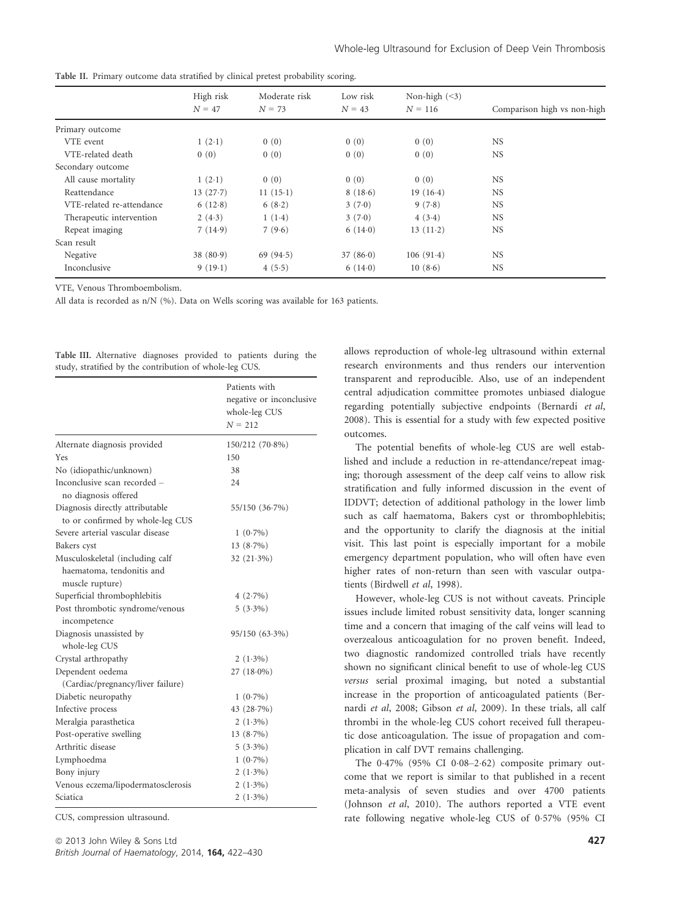|                           | High risk | Moderate risk | Low risk | Non-high $(\leq 3)$ |                             |
|---------------------------|-----------|---------------|----------|---------------------|-----------------------------|
|                           | $N = 47$  | $N = 73$      | $N = 43$ | $N = 116$           | Comparison high vs non-high |
| Primary outcome           |           |               |          |                     |                             |
| VTE event                 | $1(2-1)$  | 0(0)          | 0(0)     | 0(0)                | NS.                         |
| VTE-related death         | 0(0)      | 0(0)          | 0(0)     | 0(0)                | <b>NS</b>                   |
| Secondary outcome         |           |               |          |                     |                             |
| All cause mortality       | $1(2-1)$  | 0(0)          | 0(0)     | 0(0)                | NS.                         |
| Reattendance              | 13(27.7)  | $11(15-1)$    | 8(18.6)  | $19(16-4)$          | NS.                         |
| VTE-related re-attendance | 6(12.8)   | 6(8.2)        | 3(7.0)   | 9(7.8)              | NS.                         |
| Therapeutic intervention  | 2(4.3)    | 1(1.4)        | 3(7.0)   | 4(3.4)              | NS.                         |
| Repeat imaging            | 7(14.9)   | 7(9.6)        | 6(14.0)  | 13(11.2)            | NS.                         |
| Scan result               |           |               |          |                     |                             |
| Negative                  | 38(80.9)  | 69 $(94.5)$   | 37(86.0) | 106(91.4)           | NS.                         |
| Inconclusive              | 9(19.1)   | 4(5.5)        | 6(14.0)  | 10(8.6)             | NS.                         |

Table II. Primary outcome data stratified by clinical pretest probability scoring.

VTE, Venous Thromboembolism.

All data is recorded as n/N (%). Data on Wells scoring was available for 163 patients.

|  |  |  |                                                         |  | Table III. Alternative diagnoses provided to patients during the |  |
|--|--|--|---------------------------------------------------------|--|------------------------------------------------------------------|--|
|  |  |  | study, stratified by the contribution of whole-leg CUS. |  |                                                                  |  |

|                                                                                 | Patients with<br>negative or inconclusive<br>whole-leg CUS<br>$N = 212$ |
|---------------------------------------------------------------------------------|-------------------------------------------------------------------------|
| Alternate diagnosis provided                                                    | $150/212(70.8\%)$                                                       |
| Yes                                                                             | 150                                                                     |
| No (idiopathic/unknown)                                                         | 38                                                                      |
| Inconclusive scan recorded -<br>no diagnosis offered                            | 24                                                                      |
| Diagnosis directly attributable<br>to or confirmed by whole-leg CUS             | 55/150 (36.7%)                                                          |
| Severe arterial vascular disease                                                | $1(0.7\%)$                                                              |
| Bakers cyst                                                                     | $13(8.7\%)$                                                             |
| Musculoskeletal (including calf<br>haematoma, tendonitis and<br>muscle rupture) | 32 $(21.3\%)$                                                           |
| Superficial thrombophlebitis                                                    | $4(2.7\%)$                                                              |
| Post thrombotic syndrome/venous<br>incompetence                                 | $5(3.3\%)$                                                              |
| Diagnosis unassisted by<br>whole-leg CUS                                        | $95/150(63.3\%)$                                                        |
| Crystal arthropathy                                                             | $2(1.3\%)$                                                              |
| Dependent oedema                                                                | $27(18.0\%)$                                                            |
| (Cardiac/pregnancy/liver failure)                                               |                                                                         |
| Diabetic neuropathy                                                             | $1(0.7\%)$                                                              |
| Infective process                                                               | 43 $(28.7%)$                                                            |
| Meralgia parasthetica                                                           | $2(1.3\%)$                                                              |
| Post-operative swelling                                                         | $13(8.7\%)$                                                             |
| Arthritic disease                                                               | $5(3.3\%)$                                                              |
| Lymphoedma                                                                      | $1(0.7\%)$                                                              |
| Bony injury                                                                     | $2(1.3\%)$                                                              |
| Venous eczema/lipodermatosclerosis                                              | $2(1.3\%)$                                                              |
| Sciatica                                                                        | $2(1.3\%)$                                                              |

CUS, compression ultrasound.

 $\circledcirc$  2013 John Wiley & Sons Ltd 427 British Journal of Haematology, 2014, 164, 422-430

allows reproduction of whole-leg ultrasound within external research environments and thus renders our intervention transparent and reproducible. Also, use of an independent central adjudication committee promotes unbiased dialogue regarding potentially subjective endpoints (Bernardi et al, 2008). This is essential for a study with few expected positive outcomes.

The potential benefits of whole-leg CUS are well established and include a reduction in re-attendance/repeat imaging; thorough assessment of the deep calf veins to allow risk stratification and fully informed discussion in the event of IDDVT; detection of additional pathology in the lower limb such as calf haematoma, Bakers cyst or thrombophlebitis; and the opportunity to clarify the diagnosis at the initial visit. This last point is especially important for a mobile emergency department population, who will often have even higher rates of non-return than seen with vascular outpatients (Birdwell et al, 1998).

However, whole-leg CUS is not without caveats. Principle issues include limited robust sensitivity data, longer scanning time and a concern that imaging of the calf veins will lead to overzealous anticoagulation for no proven benefit. Indeed, two diagnostic randomized controlled trials have recently shown no significant clinical benefit to use of whole-leg CUS versus serial proximal imaging, but noted a substantial increase in the proportion of anticoagulated patients (Bernardi et al, 2008; Gibson et al, 2009). In these trials, all calf thrombi in the whole-leg CUS cohort received full therapeutic dose anticoagulation. The issue of propagation and complication in calf DVT remains challenging.

The  $0.47\%$  (95% CI  $0.08-2.62$ ) composite primary outcome that we report is similar to that published in a recent meta-analysis of seven studies and over 4700 patients (Johnson et al, 2010). The authors reported a VTE event rate following negative whole-leg CUS of 057% (95% CI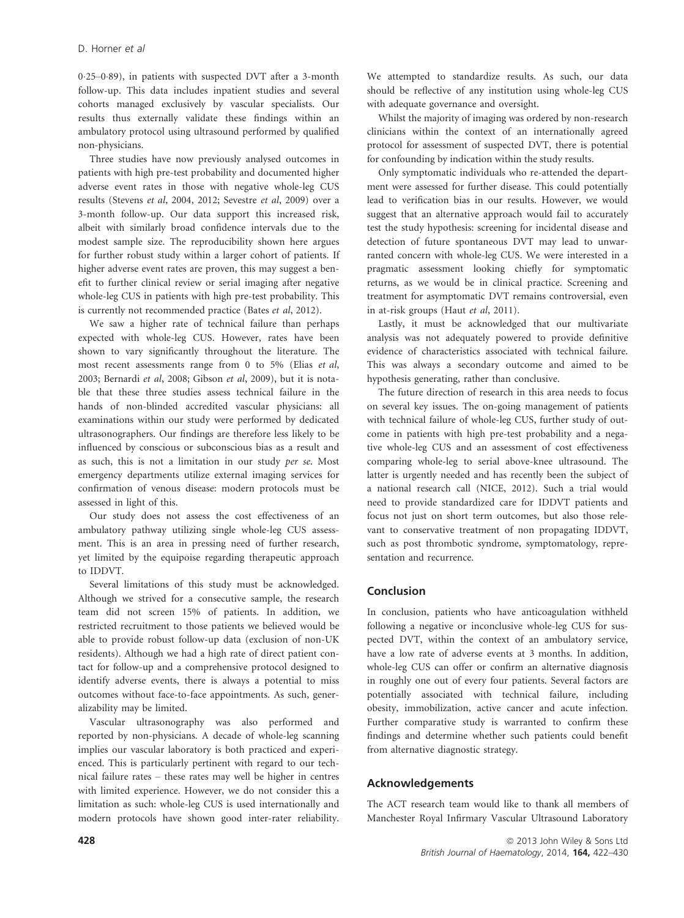025–089), in patients with suspected DVT after a 3-month follow-up. This data includes inpatient studies and several cohorts managed exclusively by vascular specialists. Our results thus externally validate these findings within an ambulatory protocol using ultrasound performed by qualified non-physicians.

Three studies have now previously analysed outcomes in patients with high pre-test probability and documented higher adverse event rates in those with negative whole-leg CUS results (Stevens et al, 2004, 2012; Sevestre et al, 2009) over a 3-month follow-up. Our data support this increased risk, albeit with similarly broad confidence intervals due to the modest sample size. The reproducibility shown here argues for further robust study within a larger cohort of patients. If higher adverse event rates are proven, this may suggest a benefit to further clinical review or serial imaging after negative whole-leg CUS in patients with high pre-test probability. This is currently not recommended practice (Bates et al, 2012).

We saw a higher rate of technical failure than perhaps expected with whole-leg CUS. However, rates have been shown to vary significantly throughout the literature. The most recent assessments range from 0 to 5% (Elias et al, 2003; Bernardi et al, 2008; Gibson et al, 2009), but it is notable that these three studies assess technical failure in the hands of non-blinded accredited vascular physicians: all examinations within our study were performed by dedicated ultrasonographers. Our findings are therefore less likely to be influenced by conscious or subconscious bias as a result and as such, this is not a limitation in our study per se. Most emergency departments utilize external imaging services for confirmation of venous disease: modern protocols must be assessed in light of this.

Our study does not assess the cost effectiveness of an ambulatory pathway utilizing single whole-leg CUS assessment. This is an area in pressing need of further research, yet limited by the equipoise regarding therapeutic approach to IDDVT.

Several limitations of this study must be acknowledged. Although we strived for a consecutive sample, the research team did not screen 15% of patients. In addition, we restricted recruitment to those patients we believed would be able to provide robust follow-up data (exclusion of non-UK residents). Although we had a high rate of direct patient contact for follow-up and a comprehensive protocol designed to identify adverse events, there is always a potential to miss outcomes without face-to-face appointments. As such, generalizability may be limited.

Vascular ultrasonography was also performed and reported by non-physicians. A decade of whole-leg scanning implies our vascular laboratory is both practiced and experienced. This is particularly pertinent with regard to our technical failure rates – these rates may well be higher in centres with limited experience. However, we do not consider this a limitation as such: whole-leg CUS is used internationally and modern protocols have shown good inter-rater reliability. We attempted to standardize results. As such, our data should be reflective of any institution using whole-leg CUS with adequate governance and oversight.

Whilst the majority of imaging was ordered by non-research clinicians within the context of an internationally agreed protocol for assessment of suspected DVT, there is potential for confounding by indication within the study results.

Only symptomatic individuals who re-attended the department were assessed for further disease. This could potentially lead to verification bias in our results. However, we would suggest that an alternative approach would fail to accurately test the study hypothesis: screening for incidental disease and detection of future spontaneous DVT may lead to unwarranted concern with whole-leg CUS. We were interested in a pragmatic assessment looking chiefly for symptomatic returns, as we would be in clinical practice. Screening and treatment for asymptomatic DVT remains controversial, even in at-risk groups (Haut et al, 2011).

Lastly, it must be acknowledged that our multivariate analysis was not adequately powered to provide definitive evidence of characteristics associated with technical failure. This was always a secondary outcome and aimed to be hypothesis generating, rather than conclusive.

The future direction of research in this area needs to focus on several key issues. The on-going management of patients with technical failure of whole-leg CUS, further study of outcome in patients with high pre-test probability and a negative whole-leg CUS and an assessment of cost effectiveness comparing whole-leg to serial above-knee ultrasound. The latter is urgently needed and has recently been the subject of a national research call (NICE, 2012). Such a trial would need to provide standardized care for IDDVT patients and focus not just on short term outcomes, but also those relevant to conservative treatment of non propagating IDDVT, such as post thrombotic syndrome, symptomatology, representation and recurrence.

# Conclusion

In conclusion, patients who have anticoagulation withheld following a negative or inconclusive whole-leg CUS for suspected DVT, within the context of an ambulatory service, have a low rate of adverse events at 3 months. In addition, whole-leg CUS can offer or confirm an alternative diagnosis in roughly one out of every four patients. Several factors are potentially associated with technical failure, including obesity, immobilization, active cancer and acute infection. Further comparative study is warranted to confirm these findings and determine whether such patients could benefit from alternative diagnostic strategy.

# Acknowledgements

The ACT research team would like to thank all members of Manchester Royal Infirmary Vascular Ultrasound Laboratory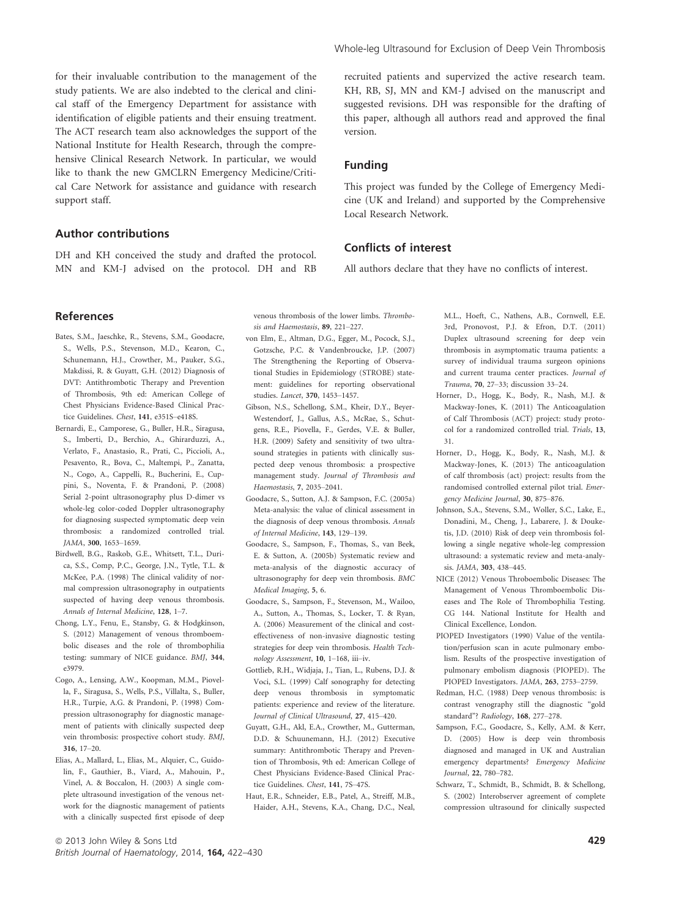for their invaluable contribution to the management of the study patients. We are also indebted to the clerical and clinical staff of the Emergency Department for assistance with identification of eligible patients and their ensuing treatment. The ACT research team also acknowledges the support of the National Institute for Health Research, through the comprehensive Clinical Research Network. In particular, we would like to thank the new GMCLRN Emergency Medicine/Critical Care Network for assistance and guidance with research support staff.

# Author contributions

DH and KH conceived the study and drafted the protocol. MN and KM-J advised on the protocol. DH and RB recruited patients and supervized the active research team. KH, RB, SJ, MN and KM-J advised on the manuscript and suggested revisions. DH was responsible for the drafting of this paper, although all authors read and approved the final version.

# Funding

This project was funded by the College of Emergency Medicine (UK and Ireland) and supported by the Comprehensive Local Research Network.

# Conflicts of interest

All authors declare that they have no conflicts of interest.

## References

- Bates, S.M., Jaeschke, R., Stevens, S.M., Goodacre, S., Wells, P.S., Stevenson, M.D., Kearon, C., Schunemann, H.J., Crowther, M., Pauker, S.G., Makdissi, R. & Guyatt, G.H. (2012) Diagnosis of DVT: Antithrombotic Therapy and Prevention of Thrombosis, 9th ed: American College of Chest Physicians Evidence-Based Clinical Practice Guidelines. Chest, 141, e351S–e418S.
- Bernardi, E., Camporese, G., Buller, H.R., Siragusa, S., Imberti, D., Berchio, A., Ghirarduzzi, A., Verlato, F., Anastasio, R., Prati, C., Piccioli, A., Pesavento, R., Bova, C., Maltempi, P., Zanatta, N., Cogo, A., Cappelli, R., Bucherini, E., Cuppini, S., Noventa, F. & Prandoni, P. (2008) Serial 2-point ultrasonography plus D-dimer vs whole-leg color-coded Doppler ultrasonography for diagnosing suspected symptomatic deep vein thrombosis: a randomized controlled trial. JAMA, 300, 1653–1659.
- Birdwell, B.G., Raskob, G.E., Whitsett, T.L., Durica, S.S., Comp, P.C., George, J.N., Tytle, T.L. & McKee, P.A. (1998) The clinical validity of normal compression ultrasonography in outpatients suspected of having deep venous thrombosis. Annals of Internal Medicine, 128, 1–7.
- Chong, L.Y., Fenu, E., Stansby, G. & Hodgkinson, S. (2012) Management of venous thromboembolic diseases and the role of thrombophilia testing: summary of NICE guidance. BMJ, 344, e3979.
- Cogo, A., Lensing, A.W., Koopman, M.M., Piovella, F., Siragusa, S., Wells, P.S., Villalta, S., Buller, H.R., Turpie, A.G. & Prandoni, P. (1998) Compression ultrasonography for diagnostic management of patients with clinically suspected deep vein thrombosis: prospective cohort study. BMJ, 316, 17–20.
- Elias, A., Mallard, L., Elias, M., Alquier, C., Guidolin, F., Gauthier, B., Viard, A., Mahouin, P., Vinel, A. & Boccalon, H. (2003) A single complete ultrasound investigation of the venous network for the diagnostic management of patients with a clinically suspected first episode of deep

venous thrombosis of the lower limbs. Thrombosis and Haemostasis, 89, 221–227.

- von Elm, E., Altman, D.G., Egger, M., Pocock, S.J., Gotzsche, P.C. & Vandenbroucke, J.P. (2007) The Strengthening the Reporting of Observational Studies in Epidemiology (STROBE) statement: guidelines for reporting observational studies. Lancet, 370, 1453–1457.
- Gibson, N.S., Schellong, S.M., Kheir, D.Y., Beyer-Westendorf, J., Gallus, A.S., McRae, S., Schutgens, R.E., Piovella, F., Gerdes, V.E. & Buller, H.R. (2009) Safety and sensitivity of two ultrasound strategies in patients with clinically suspected deep venous thrombosis: a prospective management study. Journal of Thrombosis and Haemostasis, 7, 2035–2041.
- Goodacre, S., Sutton, A.J. & Sampson, F.C. (2005a) Meta-analysis: the value of clinical assessment in the diagnosis of deep venous thrombosis. Annals of Internal Medicine, 143, 129–139.
- Goodacre, S., Sampson, F., Thomas, S., van Beek, E. & Sutton, A. (2005b) Systematic review and meta-analysis of the diagnostic accuracy of ultrasonography for deep vein thrombosis. BMC Medical Imaging, 5, 6.
- Goodacre, S., Sampson, F., Stevenson, M., Wailoo, A., Sutton, A., Thomas, S., Locker, T. & Ryan, A. (2006) Measurement of the clinical and costeffectiveness of non-invasive diagnostic testing strategies for deep vein thrombosis. Health Technology Assessment, 10, 1–168, iii–iv.
- Gottlieb, R.H., Widjaja, J., Tian, L., Rubens, D.J. & Voci, S.L. (1999) Calf sonography for detecting deep venous thrombosis in symptomatic patients: experience and review of the literature. Journal of Clinical Ultrasound, 27, 415–420.
- Guyatt, G.H., Akl, E.A., Crowther, M., Gutterman, D.D. & Schuunemann, H.J. (2012) Executive summary: Antithrombotic Therapy and Prevention of Thrombosis, 9th ed: American College of Chest Physicians Evidence-Based Clinical Practice Guidelines. Chest, 141, 7S–47S.
- Haut, E.R., Schneider, E.B., Patel, A., Streiff, M.B., Haider, A.H., Stevens, K.A., Chang, D.C., Neal,

M.L., Hoeft, C., Nathens, A.B., Cornwell, E.E. 3rd, Pronovost, P.J. & Efron, D.T. (2011) Duplex ultrasound screening for deep vein thrombosis in asymptomatic trauma patients: a survey of individual trauma surgeon opinions and current trauma center practices. Journal of Trauma, 70, 27–33; discussion 33–24.

- Horner, D., Hogg, K., Body, R., Nash, M.J. & Mackway-Jones, K. (2011) The Anticoagulation of Calf Thrombosis (ACT) project: study protocol for a randomized controlled trial. Trials, 13, 31.
- Horner, D., Hogg, K., Body, R., Nash, M.J. & Mackway-Jones, K. (2013) The anticoagulation of calf thrombosis (act) project: results from the randomised controlled external pilot trial. Emergency Medicine Journal, 30, 875–876.
- Johnson, S.A., Stevens, S.M., Woller, S.C., Lake, E., Donadini, M., Cheng, J., Labarere, J. & Douketis, J.D. (2010) Risk of deep vein thrombosis following a single negative whole-leg compression ultrasound: a systematic review and meta-analysis. JAMA, 303, 438–445.
- NICE (2012) Venous Throboembolic Diseases: The Management of Venous Thromboembolic Diseases and The Role of Thrombophilia Testing. CG 144. National Institute for Health and Clinical Excellence, London.
- PIOPED Investigators (1990) Value of the ventilation/perfusion scan in acute pulmonary embolism. Results of the prospective investigation of pulmonary embolism diagnosis (PIOPED). The PIOPED Investigators. JAMA, 263, 2753–2759.
- Redman, H.C. (1988) Deep venous thrombosis: is contrast venography still the diagnostic "gold standard"? Radiology, 168, 277–278.
- Sampson, F.C., Goodacre, S., Kelly, A.M. & Kerr, D. (2005) How is deep vein thrombosis diagnosed and managed in UK and Australian emergency departments? Emergency Medicine Journal, 22, 780–782.
- Schwarz, T., Schmidt, B., Schmidt, B. & Schellong, S. (2002) Interobserver agreement of complete compression ultrasound for clinically suspected

 $\degree$  2013 John Wiley & Sons Ltd 429

British Journal of Haematology, 2014, 164, 422-430